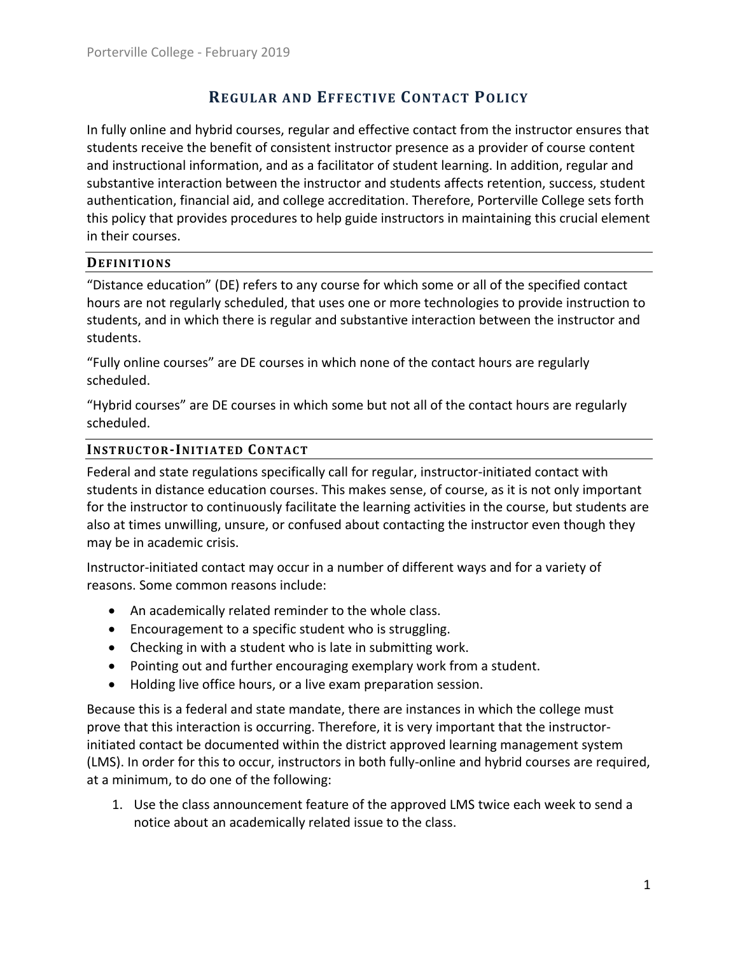# **REGULAR AND EFFECTIVE CONTACT POLICY**

In fully online and hybrid courses, regular and effective contact from the instructor ensures that students receive the benefit of consistent instructor presence as a provider of course content and instructional information, and as a facilitator of student learning. In addition, regular and substantive interaction between the instructor and students affects retention, success, student authentication, financial aid, and college accreditation. Therefore, Porterville College sets forth this policy that provides procedures to help guide instructors in maintaining this crucial element in their courses.

## **DEFINITIONS**

"Distance education" (DE) refers to any course for which some or all of the specified contact hours are not regularly scheduled, that uses one or more technologies to provide instruction to students, and in which there is regular and substantive interaction between the instructor and students.

"Fully online courses" are DE courses in which none of the contact hours are regularly scheduled.

"Hybrid courses" are DE courses in which some but not all of the contact hours are regularly scheduled.

## **INSTRUC TOR-INITIATED CONTAC T**

Federal and state regulations specifically call for regular, instructor-initiated contact with students in distance education courses. This makes sense, of course, as it is not only important for the instructor to continuously facilitate the learning activities in the course, but students are also at times unwilling, unsure, or confused about contacting the instructor even though they may be in academic crisis.

Instructor-initiated contact may occur in a number of different ways and for a variety of reasons. Some common reasons include:

- An academically related reminder to the whole class.
- Encouragement to a specific student who is struggling.
- Checking in with a student who is late in submitting work.
- Pointing out and further encouraging exemplary work from a student.
- Holding live office hours, or a live exam preparation session.

Because this is a federal and state mandate, there are instances in which the college must prove that this interaction is occurring. Therefore, it is very important that the instructorinitiated contact be documented within the district approved learning management system (LMS). In order for this to occur, instructors in both fully-online and hybrid courses are required, at a minimum, to do one of the following:

1. Use the class announcement feature of the approved LMS twice each week to send a notice about an academically related issue to the class.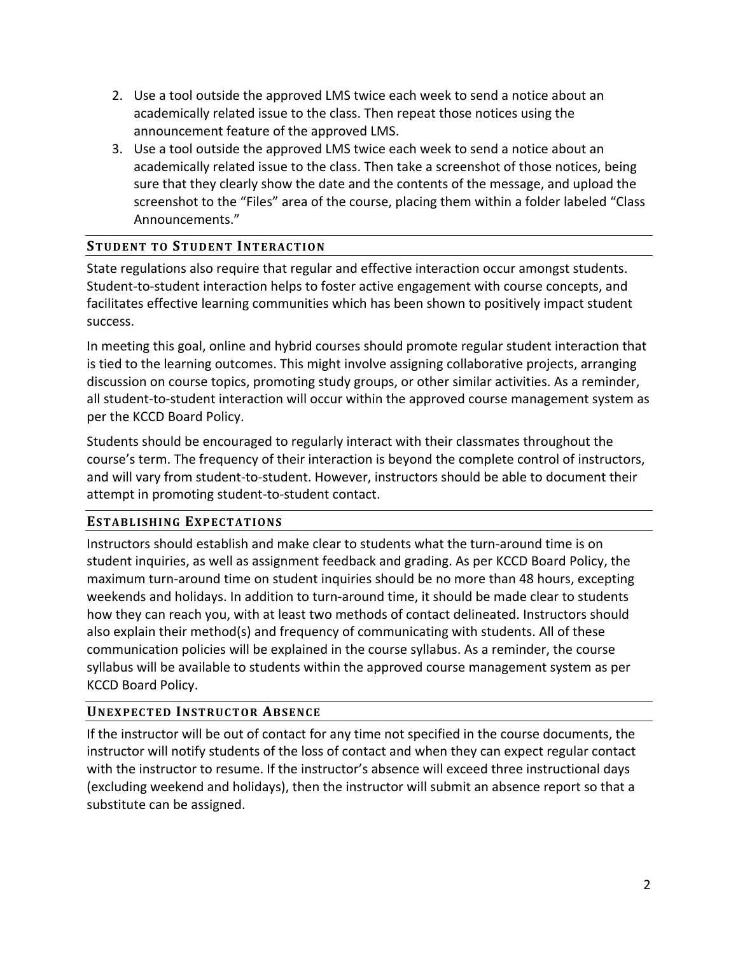- 2. Use a tool outside the approved LMS twice each week to send a notice about an academically related issue to the class. Then repeat those notices using the announcement feature of the approved LMS.
- 3. Use a tool outside the approved LMS twice each week to send a notice about an academically related issue to the class. Then take a screenshot of those notices, being sure that they clearly show the date and the contents of the message, and upload the screenshot to the "Files" area of the course, placing them within a folder labeled "Class Announcements."

# **STUDENT TO STUDENT INTERAC TION**

State regulations also require that regular and effective interaction occur amongst students. Student-to-student interaction helps to foster active engagement with course concepts, and facilitates effective learning communities which has been shown to positively impact student success.

In meeting this goal, online and hybrid courses should promote regular student interaction that is tied to the learning outcomes. This might involve assigning collaborative projects, arranging discussion on course topics, promoting study groups, or other similar activities. As a reminder, all student-to-student interaction will occur within the approved course management system as per the KCCD Board Policy.

Students should be encouraged to regularly interact with their classmates throughout the course's term. The frequency of their interaction is beyond the complete control of instructors, and will vary from student-to-student. However, instructors should be able to document their attempt in promoting student-to-student contact.

## **ESTABLISHING EXPECTATIONS**

Instructors should establish and make clear to students what the turn-around time is on student inquiries, as well as assignment feedback and grading. As per KCCD Board Policy, the maximum turn-around time on student inquiries should be no more than 48 hours, excepting weekends and holidays. In addition to turn-around time, it should be made clear to students how they can reach you, with at least two methods of contact delineated. Instructors should also explain their method(s) and frequency of communicating with students. All of these communication policies will be explained in the course syllabus. As a reminder, the course syllabus will be available to students within the approved course management system as per KCCD Board Policy.

# **UNEXPEC TED INSTRUC TOR ABSENC E**

If the instructor will be out of contact for any time not specified in the course documents, the instructor will notify students of the loss of contact and when they can expect regular contact with the instructor to resume. If the instructor's absence will exceed three instructional days (excluding weekend and holidays), then the instructor will submit an absence report so that a substitute can be assigned.